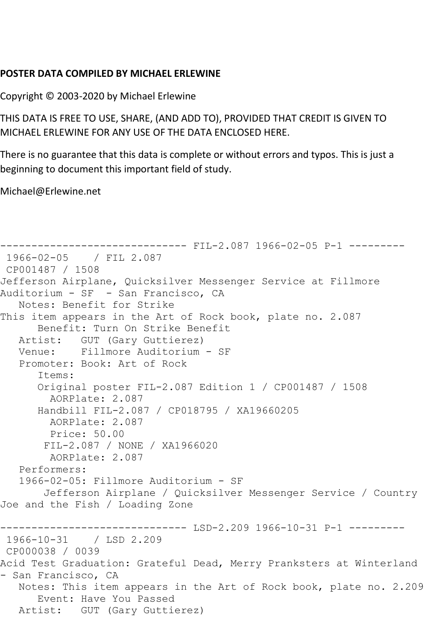## **POSTER DATA COMPILED BY MICHAEL ERLEWINE**

Copyright © 2003-2020 by Michael Erlewine

THIS DATA IS FREE TO USE, SHARE, (AND ADD TO), PROVIDED THAT CREDIT IS GIVEN TO MICHAEL ERLEWINE FOR ANY USE OF THE DATA ENCLOSED HERE.

There is no guarantee that this data is complete or without errors and typos. This is just a beginning to document this important field of study.

Michael@Erlewine.net

```
------------------------------ FIL-2.087 1966-02-05 P-1 ---------
1966-02-05 / FIL 2.087
CP001487 / 1508
Jefferson Airplane, Quicksilver Messenger Service at Fillmore 
Auditorium - SF - San Francisco, CA
   Notes: Benefit for Strike
This item appears in the Art of Rock book, plate no. 2.087
      Benefit: Turn On Strike Benefit
   Artist: GUT (Gary Guttierez)
   Venue: Fillmore Auditorium - SF
   Promoter: Book: Art of Rock
      Items:
      Original poster FIL-2.087 Edition 1 / CP001487 / 1508
        AORPlate: 2.087 
      Handbill FIL-2.087 / CP018795 / XA19660205
        AORPlate: 2.087 
        Price: 50.00
       FIL-2.087 / NONE / XA1966020
        AORPlate: 2.087 
   Performers:
   1966-02-05: Fillmore Auditorium - SF
       Jefferson Airplane / Quicksilver Messenger Service / Country 
Joe and the Fish / Loading Zone
------------------------------ LSD-2.209 1966-10-31 P-1 ---------
1966-10-31 / LSD 2.209
CP000038 / 0039
Acid Test Graduation: Grateful Dead, Merry Pranksters at Winterland 
- San Francisco, CA
   Notes: This item appears in the Art of Rock book, plate no. 2.209
      Event: Have You Passed
   Artist: GUT (Gary Guttierez)
```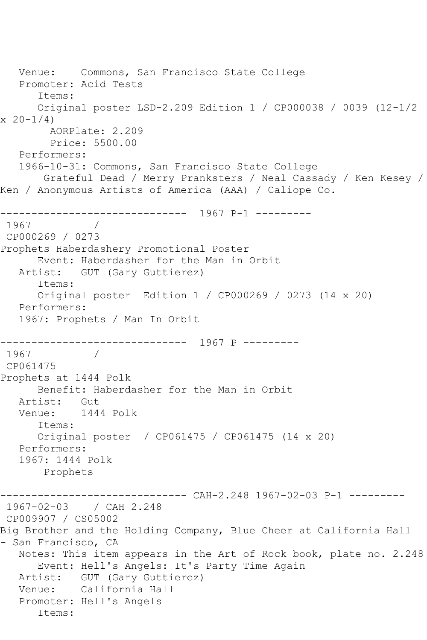Venue: Commons, San Francisco State College Promoter: Acid Tests Items: Original poster LSD-2.209 Edition 1 / CP000038 / 0039 (12-1/2  $x \ 20 - 1/4$  AORPlate: 2.209 Price: 5500.00 Performers: 1966-10-31: Commons, San Francisco State College Grateful Dead / Merry Pranksters / Neal Cassady / Ken Kesey / Ken / Anonymous Artists of America (AAA) / Caliope Co. ------------------------------ 1967 P-1 --------- 1967 / CP000269 / 0273 Prophets Haberdashery Promotional Poster Event: Haberdasher for the Man in Orbit Artist: GUT (Gary Guttierez) Items: Original poster Edition 1 / CP000269 / 0273 (14 x 20) Performers: 1967: Prophets / Man In Orbit ------------------------------ 1967 P --------- 1967 / CP061475 Prophets at 1444 Polk Benefit: Haberdasher for the Man in Orbit Artist: Gut Venue: 1444 Polk Items: Original poster / CP061475 / CP061475 (14 x 20) Performers: 1967: 1444 Polk Prophets ------------------------------ CAH-2.248 1967-02-03 P-1 --------- 1967-02-03 / CAH 2.248 CP009907 / CS05002 Big Brother and the Holding Company, Blue Cheer at California Hall - San Francisco, CA Notes: This item appears in the Art of Rock book, plate no. 2.248 Event: Hell's Angels: It's Party Time Again Artist: GUT (Gary Guttierez) Venue: California Hall Promoter: Hell's Angels Items: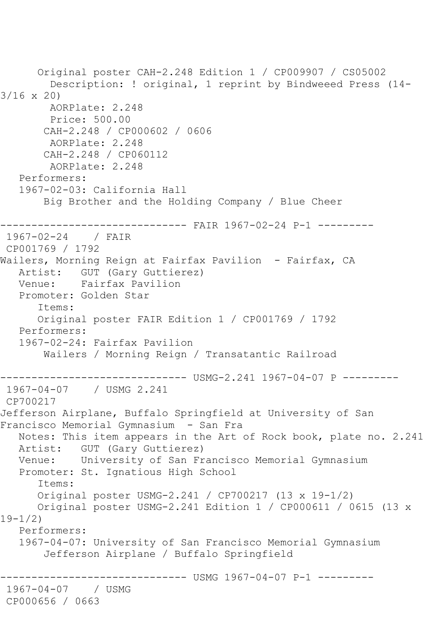Original poster CAH-2.248 Edition 1 / CP009907 / CS05002 Description: ! original, 1 reprint by Bindweeed Press (14- 3/16 x 20) AORPlate: 2.248 Price: 500.00 CAH-2.248 / CP000602 / 0606 AORPlate: 2.248 CAH-2.248 / CP060112 AORPlate: 2.248 Performers: 1967-02-03: California Hall Big Brother and the Holding Company / Blue Cheer ------------------------------ FAIR 1967-02-24 P-1 --------- 1967-02-24 / FAIR CP001769 / 1792 Wailers, Morning Reign at Fairfax Pavilion - Fairfax, CA Artist: GUT (Gary Guttierez) Venue: Fairfax Pavilion Promoter: Golden Star Items: Original poster FAIR Edition 1 / CP001769 / 1792 Performers: 1967-02-24: Fairfax Pavilion Wailers / Morning Reign / Transatantic Railroad ------------------------------ USMG-2.241 1967-04-07 P --------- 1967-04-07 / USMG 2.241 CP700217 Jefferson Airplane, Buffalo Springfield at University of San Francisco Memorial Gymnasium - San Fra Notes: This item appears in the Art of Rock book, plate no. 2.241 Artist: GUT (Gary Guttierez) Venue: University of San Francisco Memorial Gymnasium Promoter: St. Ignatious High School Items: Original poster USMG-2.241 / CP700217 (13 x 19-1/2) Original poster USMG-2.241 Edition 1 / CP000611 / 0615 (13 x 19-1/2) Performers: 1967-04-07: University of San Francisco Memorial Gymnasium Jefferson Airplane / Buffalo Springfield ----------- USMG 1967-04-07 P-1 ---------1967-04-07 / USMG CP000656 / 0663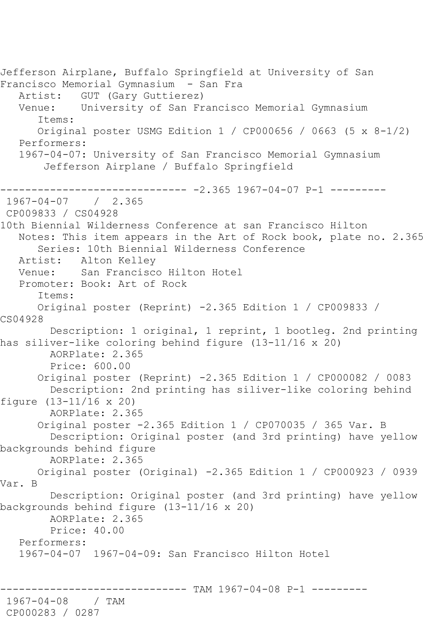Jefferson Airplane, Buffalo Springfield at University of San Francisco Memorial Gymnasium - San Fra Artist: GUT (Gary Guttierez) Venue: University of San Francisco Memorial Gymnasium Items: Original poster USMG Edition 1 / CP000656 / 0663 (5 x 8-1/2) Performers: 1967-04-07: University of San Francisco Memorial Gymnasium Jefferson Airplane / Buffalo Springfield ------------------------------ -2.365 1967-04-07 P-1 --------- 1967-04-07 / 2.365 CP009833 / CS04928 10th Biennial Wilderness Conference at san Francisco Hilton Notes: This item appears in the Art of Rock book, plate no. 2.365 Series: 10th Biennial Wilderness Conference Artist: Alton Kelley Venue: San Francisco Hilton Hotel Promoter: Book: Art of Rock Items: Original poster (Reprint) -2.365 Edition 1 / CP009833 / CS04928 Description: 1 original, 1 reprint, 1 bootleg. 2nd printing has siliver-like coloring behind figure (13-11/16 x 20) AORPlate: 2.365 Price: 600.00 Original poster (Reprint) -2.365 Edition 1 / CP000082 / 0083 Description: 2nd printing has siliver-like coloring behind figure (13-11/16 x 20) AORPlate: 2.365 Original poster -2.365 Edition 1 / CP070035 / 365 Var. B Description: Original poster (and 3rd printing) have yellow backgrounds behind figure AORPlate: 2.365 Original poster (Original) -2.365 Edition 1 / CP000923 / 0939 Var. B Description: Original poster (and 3rd printing) have yellow backgrounds behind figure (13-11/16 x 20) AORPlate: 2.365 Price: 40.00 Performers: 1967-04-07 1967-04-09: San Francisco Hilton Hotel ------ TAM 1967-04-08 P-1 ---------1967-04-08 / TAM CP000283 / 0287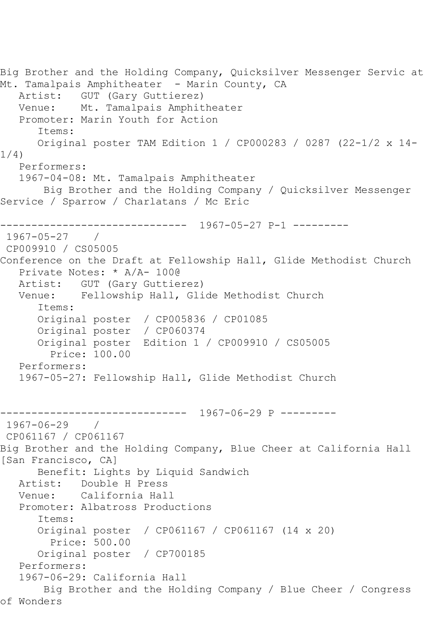```
Big Brother and the Holding Company, Quicksilver Messenger Servic at 
Mt. Tamalpais Amphitheater - Marin County, CA
   Artist: GUT (Gary Guttierez)
   Venue: Mt. Tamalpais Amphitheater
   Promoter: Marin Youth for Action
      Items:
      Original poster TAM Edition 1 / CP000283 / 0287 (22-1/2 x 14-
1/4)
   Performers:
   1967-04-08: Mt. Tamalpais Amphitheater
       Big Brother and the Holding Company / Quicksilver Messenger 
Service / Sparrow / Charlatans / Mc Eric
------------------------------ 1967-05-27 P-1 ---------
1967-05-27 / 
CP009910 / CS05005
Conference on the Draft at Fellowship Hall, Glide Methodist Church
   Private Notes: * A/A- 100@
   Artist: GUT (Gary Guttierez)
   Venue: Fellowship Hall, Glide Methodist Church
      Items:
      Original poster / CP005836 / CP01085
      Original poster / CP060374
      Original poster Edition 1 / CP009910 / CS05005
         Price: 100.00
   Performers:
   1967-05-27: Fellowship Hall, Glide Methodist Church
------------------------------ 1967-06-29 P ---------
1967-06-29 / 
CP061167 / CP061167
Big Brother and the Holding Company, Blue Cheer at California Hall 
[San Francisco, CA]
      Benefit: Lights by Liquid Sandwich
   Artist: Double H Press
   Venue: California Hall
   Promoter: Albatross Productions
      Items:
      Original poster / CP061167 / CP061167 (14 x 20)
         Price: 500.00
      Original poster / CP700185
   Performers:
   1967-06-29: California Hall
       Big Brother and the Holding Company / Blue Cheer / Congress 
of Wonders
```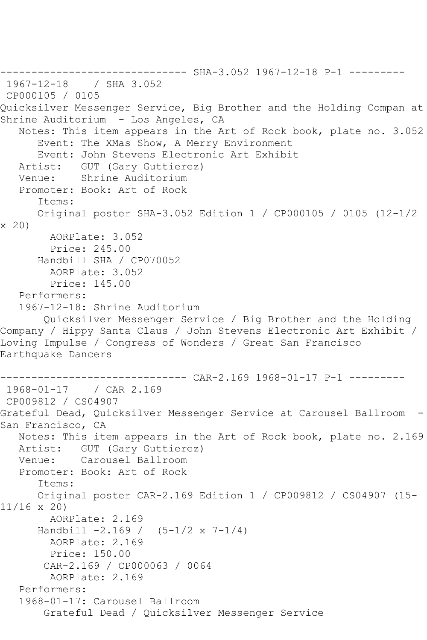------------------------------ SHA-3.052 1967-12-18 P-1 --------- 1967-12-18 / SHA 3.052 CP000105 / 0105 Quicksilver Messenger Service, Big Brother and the Holding Compan at Shrine Auditorium - Los Angeles, CA Notes: This item appears in the Art of Rock book, plate no. 3.052 Event: The XMas Show, A Merry Environment Event: John Stevens Electronic Art Exhibit Artist: GUT (Gary Guttierez) Venue: Shrine Auditorium Promoter: Book: Art of Rock Items: Original poster SHA-3.052 Edition 1 / CP000105 / 0105 (12-1/2 x 20) AORPlate: 3.052 Price: 245.00 Handbill SHA / CP070052 AORPlate: 3.052 Price: 145.00 Performers: 1967-12-18: Shrine Auditorium Quicksilver Messenger Service / Big Brother and the Holding Company / Hippy Santa Claus / John Stevens Electronic Art Exhibit / Loving Impulse / Congress of Wonders / Great San Francisco Earthquake Dancers ------------------------------ CAR-2.169 1968-01-17 P-1 --------- 1968-01-17 / CAR 2.169 CP009812 / CS04907 Grateful Dead, Quicksilver Messenger Service at Carousel Ballroom - San Francisco, CA Notes: This item appears in the Art of Rock book, plate no. 2.169 Artist: GUT (Gary Guttierez)<br>Venue: Carousel Ballroom Carousel Ballroom Promoter: Book: Art of Rock Items: Original poster CAR-2.169 Edition 1 / CP009812 / CS04907 (15- 11/16 x 20) AORPlate: 2.169 Handbill  $-2.169$  /  $(5-1/2 \times 7-1/4)$  AORPlate: 2.169 Price: 150.00 CAR-2.169 / CP000063 / 0064 AORPlate: 2.169 Performers: 1968-01-17: Carousel Ballroom Grateful Dead / Quicksilver Messenger Service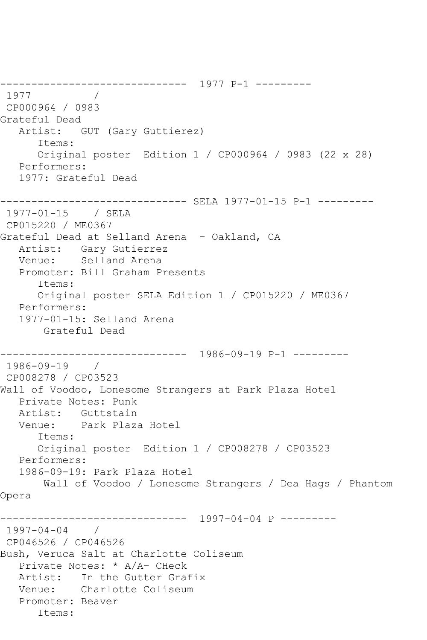------------------------------ 1977 P-1 --------- 1977 / CP000964 / 0983 Grateful Dead Artist: GUT (Gary Guttierez) Items: Original poster Edition 1 / CP000964 / 0983 (22 x 28) Performers: 1977: Grateful Dead ------------------------------ SELA 1977-01-15 P-1 --------- 1977-01-15 / SELA CP015220 / ME0367 Grateful Dead at Selland Arena - Oakland, CA Artist: Gary Gutierrez Venue: Selland Arena Promoter: Bill Graham Presents Items: Original poster SELA Edition 1 / CP015220 / ME0367 Performers: 1977-01-15: Selland Arena Grateful Dead ------------------------------ 1986-09-19 P-1 --------- 1986-09-19 / CP008278 / CP03523 Wall of Voodoo, Lonesome Strangers at Park Plaza Hotel Private Notes: Punk Artist: Guttstain Venue: Park Plaza Hotel Items: Original poster Edition 1 / CP008278 / CP03523 Performers: 1986-09-19: Park Plaza Hotel Wall of Voodoo / Lonesome Strangers / Dea Hags / Phantom Opera ------------------------------ 1997-04-04 P --------- 1997-04-04 / CP046526 / CP046526 Bush, Veruca Salt at Charlotte Coliseum Private Notes: \* A/A- CHeck Artist: In the Gutter Grafix Venue: Charlotte Coliseum Promoter: Beaver Items: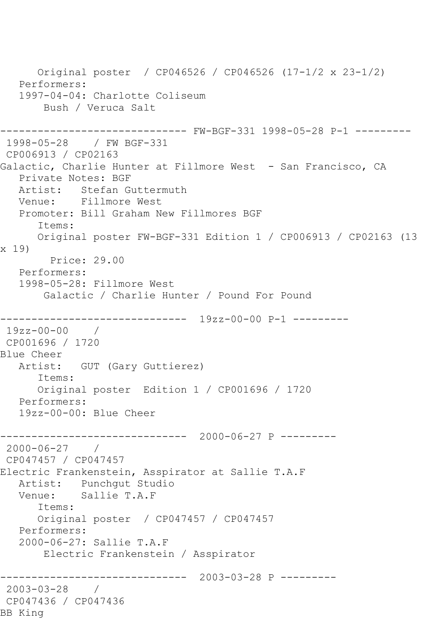```
 Original poster / CP046526 / CP046526 (17-1/2 x 23-1/2)
    Performers:
    1997-04-04: Charlotte Coliseum
        Bush / Veruca Salt
       ------------------------------ FW-BGF-331 1998-05-28 P-1 ---------
1998-05-28 / FW BGF-331
CP006913 / CP02163
Galactic, Charlie Hunter at Fillmore West - San Francisco, CA
   Private Notes: BGF
   Artist: Stefan Guttermuth
   Venue: Fillmore West
   Promoter: Bill Graham New Fillmores BGF
       Items:
      Original poster FW-BGF-331 Edition 1 / CP006913 / CP02163 (13 
x 19)
        Price: 29.00
   Performers:
   1998-05-28: Fillmore West
        Galactic / Charlie Hunter / Pound For Pound
         ------------------------------ 19zz-00-00 P-1 ---------
19zz-00-00 / 
CP001696 / 1720
Blue Cheer
   Artist: GUT (Gary Guttierez)
       Items:
       Original poster Edition 1 / CP001696 / 1720
   Performers:
    19zz-00-00: Blue Cheer
------------------------------ 2000-06-27 P ---------
2000-06-27 / 
CP047457 / CP047457
Electric Frankenstein, Asspirator at Sallie T.A.F
  Artist: Punchgut Studio<br>Venue: Sallie T.A.F
           Sallie T.A.F
       Items:
       Original poster / CP047457 / CP047457
   Performers:
    2000-06-27: Sallie T.A.F
        Electric Frankenstein / Asspirator
          ------------------------------ 2003-03-28 P ---------
2003-03-28 / 
CP047436 / CP047436
BB King
```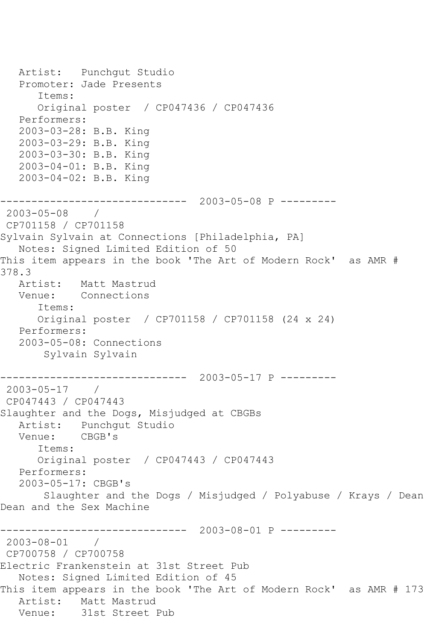Artist: Punchgut Studio Promoter: Jade Presents Items: Original poster / CP047436 / CP047436 Performers: 2003-03-28: B.B. King 2003-03-29: B.B. King 2003-03-30: B.B. King 2003-04-01: B.B. King 2003-04-02: B.B. King ------------------------------ 2003-05-08 P --------- 2003-05-08 / CP701158 / CP701158 Sylvain Sylvain at Connections [Philadelphia, PA] Notes: Signed Limited Edition of 50 This item appears in the book 'The Art of Modern Rock' as AMR # 378.3<br>Artist: Matt Mastrud Venue: Connections Items: Original poster / CP701158 / CP701158 (24 x 24) Performers: 2003-05-08: Connections Sylvain Sylvain ------------------------------ 2003-05-17 P --------- 2003-05-17 / CP047443 / CP047443 Slaughter and the Dogs, Misjudged at CBGBs Artist: Punchgut Studio Venue: CBGB's Items: Original poster / CP047443 / CP047443 Performers: 2003-05-17: CBGB's Slaughter and the Dogs / Misjudged / Polyabuse / Krays / Dean Dean and the Sex Machine ------------------------------ 2003-08-01 P --------- 2003-08-01 / CP700758 / CP700758 Electric Frankenstein at 31st Street Pub Notes: Signed Limited Edition of 45 This item appears in the book 'The Art of Modern Rock' as AMR # 173 Artist: Matt Mastrud Venue: 31st Street Pub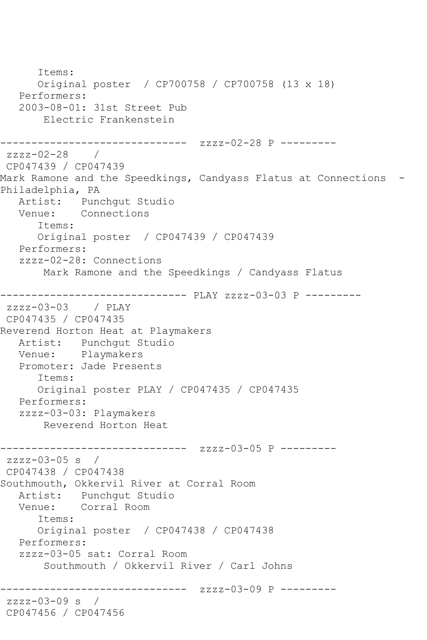Items: Original poster / CP700758 / CP700758 (13 x 18) Performers: 2003-08-01: 31st Street Pub Electric Frankenstein ------------------------------ zzzz-02-28 P --------  $zzzz-02-28$ CP047439 / CP047439 Mark Ramone and the Speedkings, Candyass Flatus at Connections - Philadelphia, PA Artist: Punchgut Studio<br>Venue: Connections Connections Items: Original poster / CP047439 / CP047439 Performers: zzzz-02-28: Connections Mark Ramone and the Speedkings / Candyass Flatus ------------------------------ PLAY zzzz-03-03 P -------- zzzz-03-03 / PLAY CP047435 / CP047435 Reverend Horton Heat at Playmakers Artist: Punchgut Studio Venue: Playmakers Promoter: Jade Presents Items: Original poster PLAY / CP047435 / CP047435 Performers: zzzz-03-03: Playmakers Reverend Horton Heat ------------------------------ zzzz-03-05 P --------  $zzzz-03-05$  s / CP047438 / CP047438 Southmouth, Okkervil River at Corral Room Artist: Punchgut Studio Venue: Corral Room Items: Original poster / CP047438 / CP047438 Performers: zzzz-03-05 sat: Corral Room Southmouth / Okkervil River / Carl Johns ------------------------------ zzzz-03-09 P -------- zzzz-03-09 s / CP047456 / CP047456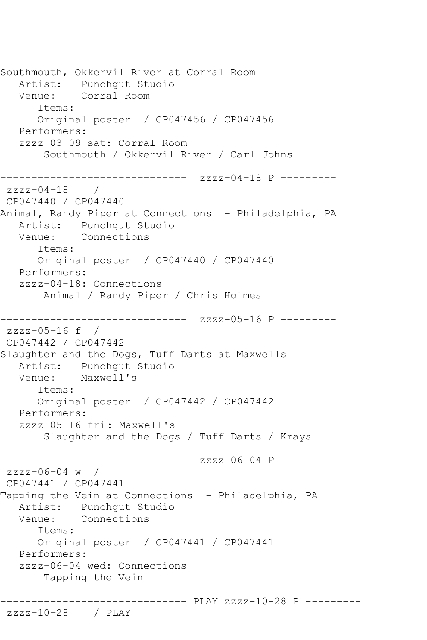Southmouth, Okkervil River at Corral Room Artist: Punchgut Studio Venue: Corral Room Items: Original poster / CP047456 / CP047456 Performers: zzzz-03-09 sat: Corral Room Southmouth / Okkervil River / Carl Johns ------------------------------ zzzz-04-18 P -------- zzzz-04-18 / CP047440 / CP047440 Animal, Randy Piper at Connections - Philadelphia, PA Artist: Punchgut Studio<br>Venue: Connections Connections Items: Original poster / CP047440 / CP047440 Performers: zzzz-04-18: Connections Animal / Randy Piper / Chris Holmes ------------------------------ zzzz-05-16 P -------- zzzz-05-16 f / CP047442 / CP047442 Slaughter and the Dogs, Tuff Darts at Maxwells Artist: Punchgut Studio Venue: Maxwell's Items: Original poster / CP047442 / CP047442 Performers: zzzz-05-16 fri: Maxwell's Slaughter and the Dogs / Tuff Darts / Krays ------------------------------ zzzz-06-04 P -------- zzzz-06-04 w / CP047441 / CP047441 Tapping the Vein at Connections - Philadelphia, PA Artist: Punchgut Studio Venue: Connections Items: Original poster / CP047441 / CP047441 Performers: zzzz-06-04 wed: Connections Tapping the Vein ------------------------------ PLAY zzzz-10-28 P -------- zzzz-10-28 / PLAY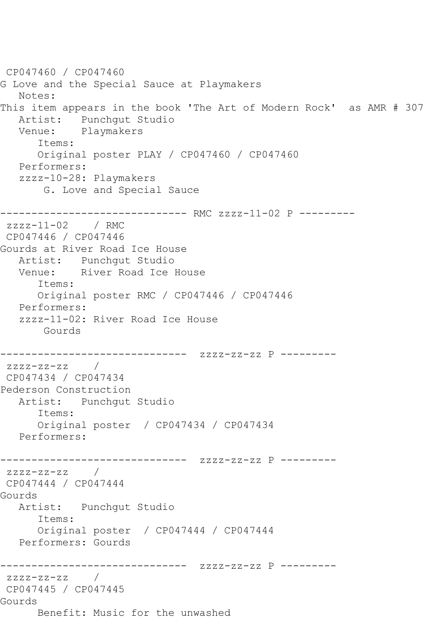```
CP047460 / CP047460
G Love and the Special Sauce at Playmakers
   Notes: 
This item appears in the book 'The Art of Modern Rock' as AMR # 307
   Artist: Punchgut Studio
   Venue: Playmakers
      Items:
      Original poster PLAY / CP047460 / CP047460
   Performers:
   zzzz-10-28: Playmakers
        G. Love and Special Sauce
------------------------------ RMC zzzz-11-02 P ---------
zzzz-11-02 / RMC 
CP047446 / CP047446
Gourds at River Road Ice House
  Artist: Punchgut Studio<br>Venue: River Road Ice
            River Road Ice House
       Items:
      Original poster RMC / CP047446 / CP047446
   Performers:
   zzzz-11-02: River Road Ice House
       Gourds
------------------------------ zzzz-zz-zz P ---------
zzzz-zz-zz / 
CP047434 / CP047434
Pederson Construction
   Artist: Punchgut Studio
       Items:
      Original poster / CP047434 / CP047434
   Performers:
------------------------------ zzzz-zz-zz P ---------
zzzz-zz-zz / 
CP047444 / CP047444
Gourds
   Artist: Punchgut Studio
      Items:
       Original poster / CP047444 / CP047444
   Performers: Gourds
------------------------------ zzzz-zz-zz P ---------
zzzz-zz-zz / 
CP047445 / CP047445
Gourds
      Benefit: Music for the unwashed
```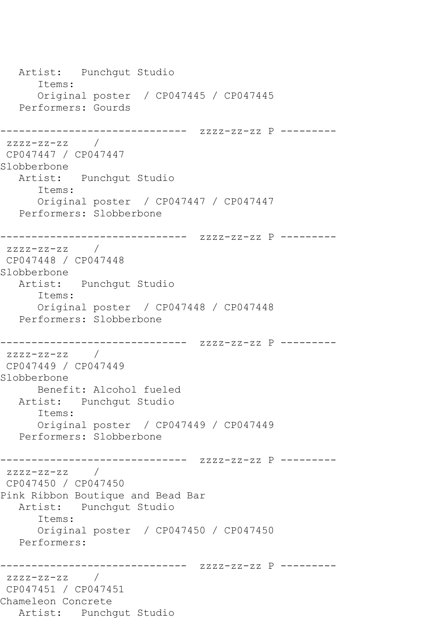```
 Artist: Punchgut Studio
      Items:
      Original poster / CP047445 / CP047445
   Performers: Gourds
------------------------------ zzzz-zz-zz P ---------
zzzz-zz-zz / 
CP047447 / CP047447
Slobberbone
   Artist: Punchgut Studio
      Items:
      Original poster / CP047447 / CP047447
   Performers: Slobberbone
------------------------------ zzzz-zz-zz P ---------
zzzz-zz-zz /
CP047448 / CP047448
Slobberbone
   Artist: Punchgut Studio
      Items:
      Original poster / CP047448 / CP047448
   Performers: Slobberbone
------------------------------ zzzz-zz-zz P ---------
zzzz-zz-zz / 
CP047449 / CP047449
Slobberbone
      Benefit: Alcohol fueled
   Artist: Punchgut Studio
      Items:
      Original poster / CP047449 / CP047449
   Performers: Slobberbone
------------------------------ zzzz-zz-zz P ---------
zzzz-zz-zz / 
CP047450 / CP047450
Pink Ribbon Boutique and Bead Bar
   Artist: Punchgut Studio
      Items:
      Original poster / CP047450 / CP047450
   Performers:
------------------------------ zzzz-zz-zz P ---------
zzzz-zz-zz / 
CP047451 / CP047451
Chameleon Concrete
   Artist: Punchgut Studio
```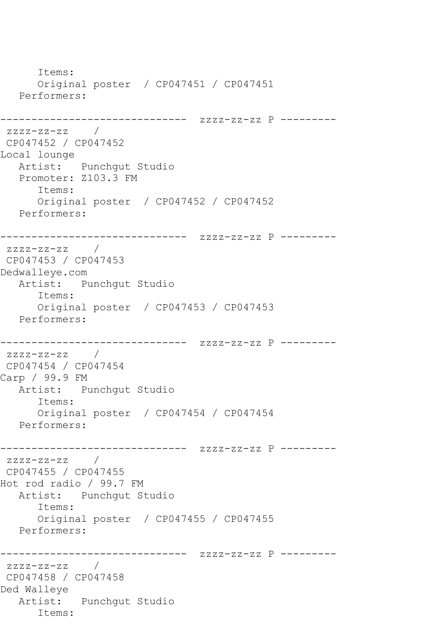```
 Items:
      Original poster / CP047451 / CP047451
   Performers:
------------------------------ zzzz-zz-zz P ---------
zzzz-zz-zz / 
CP047452 / CP047452
Local lounge
   Artist: Punchgut Studio
   Promoter: Z103.3 FM
      Items:
      Original poster / CP047452 / CP047452
   Performers:
------------------------------ zzzz-zz-zz P ---------
zzzz-zz-zz / 
CP047453 / CP047453
Dedwalleye.com
   Artist: Punchgut Studio
      Items:
      Original poster / CP047453 / CP047453
   Performers:
------------------------------ zzzz-zz-zz P ---------
zzzz-zz-zz / 
CP047454 / CP047454
Carp / 99.9 FM
   Artist: Punchgut Studio
      Items:
      Original poster / CP047454 / CP047454
   Performers:
------------------------------ zzzz-zz-zz P ---------
zzzz-zz-zz /
CP047455 / CP047455
Hot rod radio / 99.7 FM
   Artist: Punchgut Studio
      Items:
      Original poster / CP047455 / CP047455
   Performers:
------------------------------ zzzz-zz-zz P ---------
zzzz-zz-zz / 
CP047458 / CP047458
Ded Walleye
   Artist: Punchgut Studio
      Items:
```